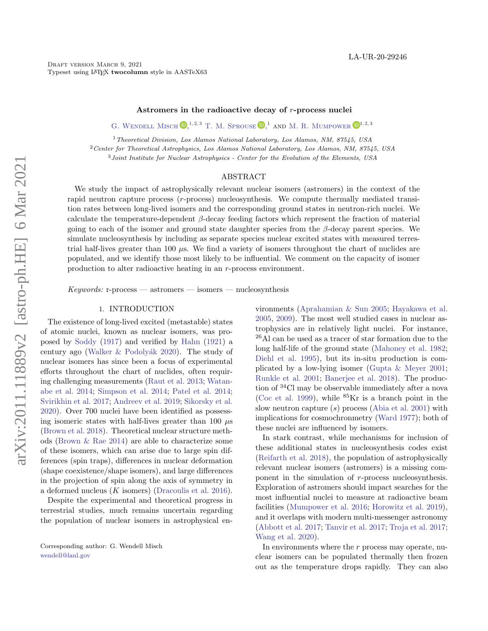# Astromers in the radioactive decay of r-process nuclei

G. WENDELL MISCH  $[{\bf D}]^{1,2,3}$  T. M. SPROUSE  $[{\bf D}]^1$  and M. R. MUMPOWER  $[{\bf D}]^{1,2,3}$ 

<sup>1</sup> Theoretical Division, Los Alamos National Laboratory, Los Alamos, NM, 87545, USA

<sup>2</sup>Center for Theoretical Astrophysics, Los Alamos National Laboratory, Los Alamos, NM, 87545, USA

<sup>3</sup>Joint Institute for Nuclear Astrophysics - Center for the Evolution of the Elements, USA

### ABSTRACT

We study the impact of astrophysically relevant nuclear isomers (astromers) in the context of the rapid neutron capture process (r-process) nucleosynthesis. We compute thermally mediated transition rates between long-lived isomers and the corresponding ground states in neutron-rich nuclei. We calculate the temperature-dependent  $\beta$ -decay feeding factors which represent the fraction of material going to each of the isomer and ground state daughter species from the  $\beta$ -decay parent species. We simulate nucleosynthesis by including as separate species nuclear excited states with measured terrestrial half-lives greater than 100 µs. We find a variety of isomers throughout the chart of nuclides are populated, and we identify those most likely to be influential. We comment on the capacity of isomer production to alter radioactive heating in an r-process environment.

 $Keywords:$  r-process — astromers — isomers — nucleosynthesis

#### 1. INTRODUCTION

The existence of long-lived excited (metastable) states of atomic nuclei, known as nuclear isomers, was proposed by [Soddy](#page-7-0) [\(1917\)](#page-7-0) and verified by [Hahn](#page-6-0) [\(1921\)](#page-6-0) a century ago (Walker  $&$  Podolyák [2020\)](#page-7-1). The study of nuclear isomers has since been a focus of experimental efforts throughout the chart of nuclides, often requiring challenging measurements [\(Raut et al.](#page-7-2) [2013;](#page-7-2) [Watan](#page-7-3)[abe et al.](#page-7-3) [2014;](#page-7-3) [Simpson et al.](#page-7-4) [2014;](#page-7-4) [Patel et al.](#page-7-5) [2014;](#page-7-5) [Svirikhin et al.](#page-7-6) [2017;](#page-7-6) [Andreev et al.](#page-6-1) [2019;](#page-6-1) [Sikorsky et al.](#page-7-7) [2020\)](#page-7-7). Over 700 nuclei have been identified as possessing isomeric states with half-lives greater than 100  $\mu$ s [\(Brown et al.](#page-6-2) [2018\)](#page-6-2). Theoretical nuclear structure methods [\(Brown & Rae](#page-6-3) [2014\)](#page-6-3) are able to characterize some of these isomers, which can arise due to large spin differences (spin traps), differences in nuclear deformation (shape coexistence/shape isomers), and large differences in the projection of spin along the axis of symmetry in a deformed nucleus  $(K \text{ isomers})$  [\(Dracoulis et al.](#page-6-4) [2016\)](#page-6-4).

Despite the experimental and theoretical progress in terrestrial studies, much remains uncertain regarding the population of nuclear isomers in astrophysical en-

Corresponding author: G. Wendell Misch [wendell@lanl.gov](mailto: wendell@lanl.gov)

vironments [\(Aprahamian & Sun](#page-6-5) [2005;](#page-6-5) [Hayakawa et al.](#page-7-8) [2005,](#page-7-8) [2009\)](#page-6-6). The most well studied cases in nuclear astrophysics are in relatively light nuclei. For instance, <sup>26</sup>Al can be used as a tracer of star formation due to the long half-life of the ground state [\(Mahoney et al.](#page-7-9) [1982;](#page-7-9) [Diehl et al.](#page-6-7) [1995\)](#page-6-7), but its in-situ production is complicated by a low-lying isomer [\(Gupta & Meyer](#page-6-8) [2001;](#page-6-8) [Runkle et al.](#page-7-10) [2001;](#page-7-10) [Banerjee et al.](#page-6-9) [2018\)](#page-6-9). The production of <sup>34</sup>Cl may be observable immediately after a nova [\(Coc et al.](#page-6-10) [1999\)](#page-6-10), while  ${}^{85}$ Kr is a branch point in the slow neutron capture  $(s)$  process [\(Abia et al.](#page-6-11) [2001\)](#page-6-11) with implications for cosmochronmetry [\(Ward](#page-7-11) [1977\)](#page-7-11); both of these nuclei are influenced by isomers.

In stark contrast, while mechanisms for inclusion of these additional states in nucleosynthesis codes exist [\(Reifarth et al.](#page-7-12) [2018\)](#page-7-12), the population of astrophysically relevant nuclear isomers (astromers) is a missing component in the simulation of r-process nucleosynthesis. Exploration of astromers should impact searches for the most influential nuclei to measure at radioactive beam facilities [\(Mumpower et al.](#page-7-13) [2016;](#page-7-13) [Horowitz et al.](#page-7-14) [2019\)](#page-7-14), and it overlaps with modern multi-messenger astronomy [\(Abbott et al.](#page-6-12) [2017;](#page-6-12) [Tanvir et al.](#page-7-15) [2017;](#page-7-15) [Troja et al.](#page-7-16) [2017;](#page-7-16) [Wang et al.](#page-7-17) [2020\)](#page-7-17).

In environments where the  $r$  process may operate, nuclear isomers can be populated thermally then frozen out as the temperature drops rapidly. They can also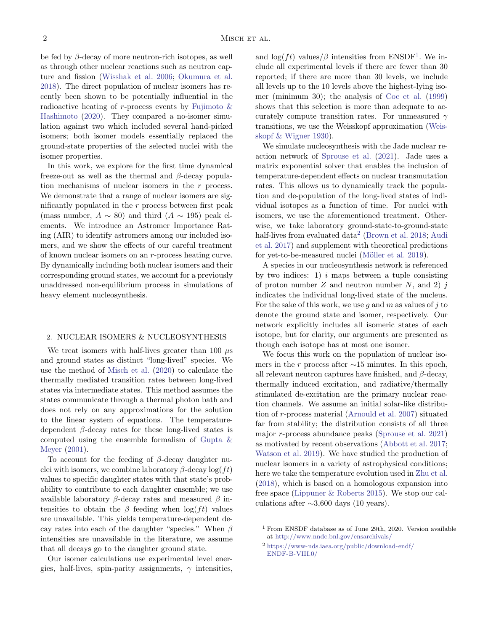be fed by β-decay of more neutron-rich isotopes, as well as through other nuclear reactions such as neutron capture and fission [\(Wisshak et al.](#page-7-18) [2006;](#page-7-18) [Okumura et al.](#page-7-19) [2018\)](#page-7-19). The direct population of nuclear isomers has recently been shown to be potentially influential in the radioactive heating of r-process events by Fujimoto  $\&$ [Hashimoto](#page-6-13) [\(2020\)](#page-6-13). They compared a no-isomer simulation against two which included several hand-picked isomers; both isomer models essentially replaced the ground-state properties of the selected nuclei with the isomer properties.

In this work, we explore for the first time dynamical freeze-out as well as the thermal and  $\beta$ -decay population mechanisms of nuclear isomers in the  $r$  process. We demonstrate that a range of nuclear isomers are significantly populated in the  $r$  process between first peak (mass number,  $A \sim 80$ ) and third  $(A \sim 195)$  peak elements. We introduce an Astromer Importance Rating (AIR) to identify astromers among our included isomers, and we show the effects of our careful treatment of known nuclear isomers on an r-process heating curve. By dynamically including both nuclear isomers and their corresponding ground states, we account for a previously unaddressed non-equilibrium process in simulations of heavy element nucleosynthesis.

## 2. NUCLEAR ISOMERS & NUCLEOSYNTHESIS

We treat isomers with half-lives greater than 100  $\mu$ s and ground states as distinct "long-lived" species. We use the method of [Misch et al.](#page-7-20) [\(2020\)](#page-7-20) to calculate the thermally mediated transition rates between long-lived states via intermediate states. This method assumes the states communicate through a thermal photon bath and does not rely on any approximations for the solution to the linear system of equations. The temperaturedependent  $\beta$ -decay rates for these long-lived states is computed using the ensemble formalism of [Gupta &](#page-6-8) [Meyer](#page-6-8) [\(2001\)](#page-6-8).

To account for the feeding of  $\beta$ -decay daughter nuclei with isomers, we combine laboratory  $\beta$ -decay log(ft) values to specific daughter states with that state's probability to contribute to each daughter ensemble; we use available laboratory  $β$ -decay rates and measured  $β$  intensities to obtain the  $\beta$  feeding when  $\log (ft)$  values are unavailable. This yields temperature-dependent decay rates into each of the daughter "species." When  $\beta$ intensities are unavailable in the literature, we assume that all decays go to the daughter ground state.

Our isomer calculations use experimental level energies, half-lives, spin-parity assignments,  $\gamma$  intensities,

and  $\log (ft)$  values/ $\beta$  intensities from ENSDF<sup>[1](#page-1-0)</sup>. We include all experimental levels if there are fewer than 30 reported; if there are more than 30 levels, we include all levels up to the 10 levels above the highest-lying isomer (minimum 30); the analysis of [Coc et al.](#page-6-10) [\(1999\)](#page-6-10) shows that this selection is more than adequate to accurately compute transition rates. For unmeasured  $\gamma$ transitions, we use the Weisskopf approximation [\(Weis](#page-7-21)[skopf & Wigner](#page-7-21) [1930\)](#page-7-21).

We simulate nucleosynthesis with the Jade nuclear reaction network of [Sprouse et al.](#page-7-22) [\(2021\)](#page-7-22). Jade uses a matrix exponential solver that enables the inclusion of temperature-dependent effects on nuclear transmutation rates. This allows us to dynamically track the population and de-population of the long-lived states of individual isotopes as a function of time. For nuclei with isomers, we use the aforementioned treatment. Otherwise, we take laboratory ground-state-to-ground-state half-lives from evaluated data<sup>[2](#page-1-1)</sup> [\(Brown et al.](#page-6-2) [2018;](#page-6-2) [Audi](#page-6-14) [et al.](#page-6-14) [2017\)](#page-6-14) and supplement with theoretical predictions for yet-to-be-measured nuclei (Möller et al. [2019\)](#page-7-23).

A species in our nucleosynthesis network is referenced by two indices: 1)  $i$  maps between a tuple consisting of proton number  $Z$  and neutron number  $N$ , and 2) j indicates the individual long-lived state of the nucleus. For the sake of this work, we use q and  $m$  as values of  $i$  to denote the ground state and isomer, respectively. Our network explicitly includes all isomeric states of each isotope, but for clarity, our arguments are presented as though each isotope has at most one isomer.

We focus this work on the population of nuclear isomers in the r process after  $\sim$ 15 minutes. In this epoch, all relevant neutron captures have finished, and  $\beta$ -decay, thermally induced excitation, and radiative/thermally stimulated de-excitation are the primary nuclear reaction channels. We assume an initial solar-like distribution of r-process material [\(Arnould et al.](#page-6-15) [2007\)](#page-6-15) situated far from stability; the distribution consists of all three major r-process abundance peaks [\(Sprouse et al.](#page-7-22) [2021\)](#page-7-22) as motivated by recent observations [\(Abbott et al.](#page-6-12) [2017;](#page-6-12) [Watson et al.](#page-7-24) [2019\)](#page-7-24). We have studied the production of nuclear isomers in a variety of astrophysical conditions; here we take the temperature evolution used in [Zhu et al.](#page-7-25) [\(2018\)](#page-7-25), which is based on a homologous expansion into free space [\(Lippuner & Roberts](#page-7-26) [2015\)](#page-7-26). We stop our calculations after  $\sim$ 3,600 days (10 years).

<span id="page-1-0"></span><sup>1</sup> From ENSDF database as of June 29th, 2020. Version available at <http://www.nndc.bnl.gov/ensarchivals/>

<span id="page-1-1"></span><sup>2</sup> [https://www-nds.iaea.org/public/download-endf/](https://www-nds.iaea.org/public/download-endf/ENDF-B-VIII.0/) [ENDF-B-VIII.0/](https://www-nds.iaea.org/public/download-endf/ENDF-B-VIII.0/)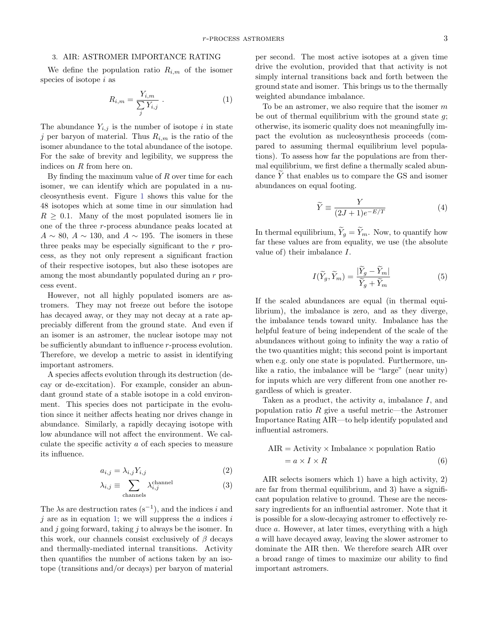We define the population ratio  $R_{i,m}$  of the isomer species of isotope i as

<span id="page-2-0"></span>
$$
R_{i,m} = \frac{Y_{i,m}}{\sum_j Y_{i,j}} \tag{1}
$$

The abundance  $Y_{i,j}$  is the number of isotope i in state j per baryon of material. Thus  $R_{i,m}$  is the ratio of the isomer abundance to the total abundance of the isotope. For the sake of brevity and legibility, we suppress the indices on R from here on.

By finding the maximum value of  $R$  over time for each isomer, we can identify which are populated in a nucleosynthesis event. Figure [1](#page-3-0) shows this value for the 48 isotopes which at some time in our simulation had  $R \geq 0.1$ . Many of the most populated isomers lie in one of the three r-process abundance peaks located at  $A \sim 80$ ,  $A \sim 130$ , and  $A \sim 195$ . The isomers in these three peaks may be especially significant to the  $r$  process, as they not only represent a significant fraction of their respective isotopes, but also these isotopes are among the most abundantly populated during an r process event.

However, not all highly populated isomers are astromers. They may not freeze out before the isotope has decayed away, or they may not decay at a rate appreciably different from the ground state. And even if an isomer is an astromer, the nuclear isotope may not be sufficiently abundant to influence r-process evolution. Therefore, we develop a metric to assist in identifying important astromers.

A species affects evolution through its destruction (decay or de-excitation). For example, consider an abundant ground state of a stable isotope in a cold environment. This species does not participate in the evolution since it neither affects heating nor drives change in abundance. Similarly, a rapidly decaying isotope with low abundance will not affect the environment. We calculate the specific activity a of each species to measure its influence.

$$
a_{i,j} = \lambda_{i,j} Y_{i,j} \tag{2}
$$

$$
\lambda_{i,j} \equiv \sum_{\text{channels}} \lambda_{i,j}^{\text{channel}} \tag{3}
$$

The  $\lambda$ s are destruction rates (s<sup>-1</sup>), and the indices *i* and  $i$  are as in equation [1;](#page-2-0) we will suppress the  $a$  indices  $i$ and  $j$  going forward, taking  $j$  to always be the isomer. In this work, our channels consist exclusively of  $\beta$  decays and thermally-mediated internal transitions. Activity then quantifies the number of actions taken by an isotope (transitions and/or decays) per baryon of material

per second. The most active isotopes at a given time drive the evolution, provided that that activity is not simply internal transitions back and forth between the ground state and isomer. This brings us to the thermally weighted abundance imbalance.

To be an astromer, we also require that the isomer  $m$ be out of thermal equilibrium with the ground state  $g$ ; otherwise, its isomeric quality does not meaningfully impact the evolution as nucleosynthesis proceeds (compared to assuming thermal equilibrium level populations). To assess how far the populations are from thermal equilibrium, we first define a thermally scaled abundance  $\widetilde{Y}$  that enables us to compare the GS and isomer abundances on equal footing.

$$
\widetilde{Y} \equiv \frac{Y}{(2J+1)e^{-E/T}}
$$
\n(4)

In thermal equilibrium,  $\widetilde{Y}_q = \widetilde{Y}_m$ . Now, to quantify how far these values are from equality, we use (the absolute value of) their imbalance I.

$$
I(\widetilde{Y}_g, \widetilde{Y}_m) = \frac{|\widetilde{Y}_g - \widetilde{Y}_m|}{\widetilde{Y}_g + \widetilde{Y}_m}
$$
(5)

If the scaled abundances are equal (in thermal equilibrium), the imbalance is zero, and as they diverge, the imbalance tends toward unity. Imbalance has the helpful feature of being independent of the scale of the abundances without going to infinity the way a ratio of the two quantities might; this second point is important when e.g. only one state is populated. Furthermore, unlike a ratio, the imbalance will be "large" (near unity) for inputs which are very different from one another regardless of which is greater.

Taken as a product, the activity  $a$ , imbalance  $I$ , and population ratio  $R$  give a useful metric—the Astromer Importance Rating AIR—to help identify populated and influential astromers.

$$
AIR = Activity \times Imbalance \times population Ratio
$$
  
=  $a \times I \times R$  (6)

AIR selects isomers which 1) have a high activity, 2) are far from thermal equilibrium, and 3) have a significant population relative to ground. These are the necessary ingredients for an influential astromer. Note that it is possible for a slow-decaying astromer to effectively reduce a. However, at later times, everything with a high a will have decayed away, leaving the slower astromer to dominate the AIR then. We therefore search AIR over a broad range of times to maximize our ability to find important astromers.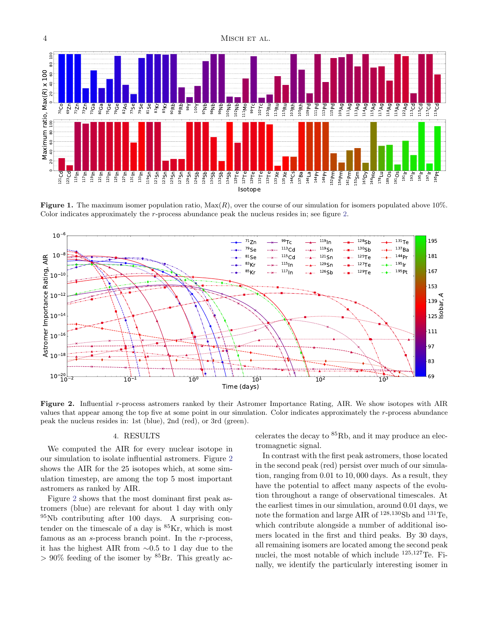

<span id="page-3-0"></span>**Figure 1.** The maximum isomer population ratio,  $Max(R)$ , over the course of our simulation for isomers populated above 10%. Color indicates approximately the r-process abundance peak the nucleus resides in; see figure [2.](#page-3-1)



<span id="page-3-1"></span>Figure 2. Influential r-process astromers ranked by their Astromer Importance Rating, AIR. We show isotopes with AIR values that appear among the top five at some point in our simulation. Color indicates approximately the r-process abundance peak the nucleus resides in: 1st (blue), 2nd (red), or 3rd (green).

### 4. RESULTS

We computed the AIR for every nuclear isotope in our simulation to isolate influential astromers. Figure [2](#page-3-1) shows the AIR for the 25 isotopes which, at some simulation timestep, are among the top 5 most important astromers as ranked by AIR.

Figure [2](#page-3-1) shows that the most dominant first peak astromers (blue) are relevant for about 1 day with only  $95Nb$  contributing after 100 days. A surprising contender on the timescale of a day is  ${}^{85}$ Kr, which is most famous as an s-process branch point. In the r-process, it has the highest AIR from ∼0.5 to 1 day due to the  $> 90\%$  feeding of the isomer by  ${}^{85}Br$ . This greatly accelerates the decay to  ${}^{85}$ Rb, and it may produce an electromagnetic signal.

In contrast with the first peak astromers, those located in the second peak (red) persist over much of our simulation, ranging from 0.01 to 10, 000 days. As a result, they have the potential to affect many aspects of the evolution throughout a range of observational timescales. At the earliest times in our simulation, around 0.01 days, we note the formation and large AIR of  $^{128,130}$ Sb and  $^{131}$ Te, which contribute alongside a number of additional isomers located in the first and third peaks. By 30 days, all remaining isomers are located among the second peak nuclei, the most notable of which include <sup>125</sup>,<sup>127</sup>Te. Finally, we identify the particularly interesting isomer in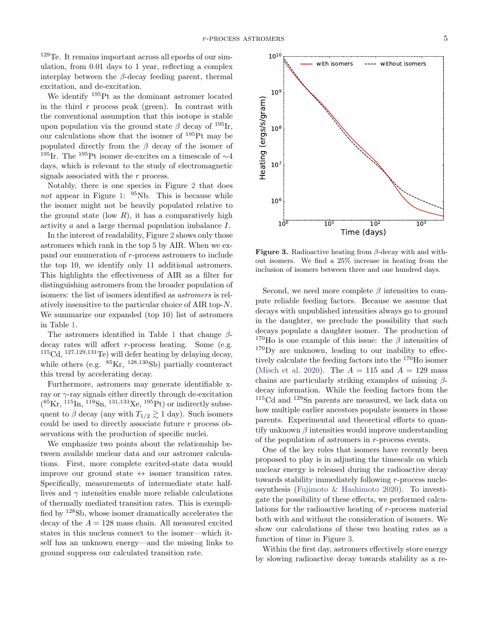<sup>129</sup>Te. It remains important across all epochs of our simulation, from 0.01 days to 1 year, reflecting a complex interplay between the  $\beta$ -decay feeding parent, thermal excitation, and de-excitation.

We identify <sup>195</sup>Pt as the dominant astromer located in the third  $r$  process peak (green). In contrast with the conventional assumption that this isotope is stable upon population via the ground state  $\beta$  decay of <sup>195</sup>Ir, our calculations show that the isomer of <sup>195</sup>Pt may be populated directly from the  $\beta$  decay of the isomer of <sup>195</sup>Ir. The <sup>195</sup>Pt isomer de-excites on a timescale of  $\sim$ 4 days, which is relevant to the study of electromagnetic signals associated with the r process.

Notably, there is one species in Figure [2](#page-3-1) that does not appear in Figure [1:](#page-3-0)  $95Nb$ . This is because while the isomer might not be heavily populated relative to the ground state (low  $R$ ), it has a comparatively high activity a and a large thermal population imbalance I.

In the interest of readability, Figure [2](#page-3-1) shows only those astromers which rank in the top 5 by AIR. When we expand our enumeration of r-process astromers to include the top 10, we identify only 11 additional astromers. This highlights the effectiveness of AIR as a filter for distinguishing astromers from the broader population of isomers: the list of isomers identified as astromers is relatively insensitive to the particular choice of AIR top-N. We summarize our expanded (top 10) list of astromers in Table [1.](#page-5-0)

The astromers identified in Table [1](#page-5-0) that change  $\beta$ decay rates will affect r-process heating. Some (e.g.  $115\text{Cd}, 127,129,131\text{Te}$  will defer heating by delaying decay, while others (e.g.  $85$ Kr,  $128,130$ Sb) partially counteract this trend by accelerating decay.

Furthermore, astromers may generate identifiable xray or  $\gamma$ -ray signals either directly through de-excitation  $(^{85}\text{Kr},^{115}\text{In},^{119}\text{Sn},^{131,133}\text{Xe},^{195}\text{Pt})$  or indirectly subsequent to  $\beta$  decay (any with  $T_{1/2} \gtrsim 1$  day). Such isomers could be used to directly associate future  $r$  process observations with the production of specific nuclei.

We emphasize two points about the relationship between available nuclear data and our astromer calculations. First, more complete excited-state data would improve our ground state  $\leftrightarrow$  isomer transition rates. Specifically, measurements of intermediate state halflives and  $\gamma$  intensities enable more reliable calculations of thermally mediated transition rates. This is exemplified by <sup>128</sup>Sb, whose isomer dramatically accelerates the decay of the  $A = 128$  mass chain. All measured excited states in this nucleus connect to the isomer—which itself has an unknown energy—and the missing links to ground suppress our calculated transition rate.



<span id="page-4-0"></span>**Figure 3.** Radioactive heating from  $\beta$ -decay with and without isomers. We find a 25% increase in heating from the inclusion of isomers between three and one hundred days.

Second, we need more complete  $\beta$  intensities to compute reliable feeding factors. Because we assume that decays with unpublished intensities always go to ground in the daughter, we preclude the possibility that such decays populate a daughter isomer. The production of <sup>170</sup>Ho is one example of this issue: the  $\beta$  intensities of  $170$ <sub>Dy</sub> are unknown, leading to our inability to effectively calculate the feeding factors into the <sup>170</sup>Ho isomer [\(Misch et al.](#page-7-20) [2020\)](#page-7-20). The  $A = 115$  and  $A = 129$  mass chains are particularly striking examples of missing  $\beta$ decay information. While the feeding factors from the <sup>115</sup>Cd and <sup>129</sup>Sn parents are measured, we lack data on how multiple earlier ancestors populate isomers in those parents. Experimental and theoretical efforts to quantify unknown  $\beta$  intensities would improve understanding of the population of astromers in r-process events.

One of the key roles that isomers have recently been proposed to play is in adjusting the timescale on which nuclear energy is released during the radioactive decay towards stability immediately following r-process nucleosynthesis [\(Fujimoto & Hashimoto](#page-6-13) [2020\)](#page-6-13). To investigate the possibility of these effects, we performed calculations for the radioactive heating of r-process material both with and without the consideration of isomers. We show our calculations of these two heating rates as a function of time in Figure [3.](#page-4-0)

Within the first day, astromers effectively store energy by slowing radioactive decay towards stability as a re-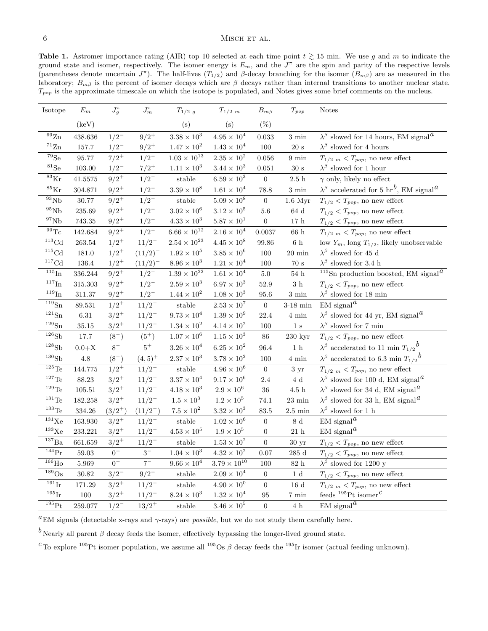### <span id="page-5-0"></span> $6$  MISCH ET AL.

Table 1. Astromer importance rating (AIR) top 10 selected at each time point  $t \gtrsim 15$  min. We use g and m to indicate the ground state and isomer, respectively. The isomer energy is  $E_m$ , and the  $J^{\pi}$  are the spin and parity of the respective levels (parentheses denote uncertain  $J^{\pi}$ ). The half-lives  $(T_{1/2})$  and  $\beta$ -decay branching for the isomer  $(B_{m\beta})$  are as measured in the laboratory;  $B_{m\beta}$  is the percent of isomer decays which are  $\beta$  decays rather than internal transitions to another nuclear state.  $T_{pop}$  is the approximate timescale on which the isotope is populated, and Notes gives some brief comments on the nucleus.

| Isotope                              | $E_m$            | $J_g^{\pi}$ | $J_m^\pi$    | $T_{1/2g}$                                                                    | $T_{1/2, m}$         | $B_{m\beta}$     | $T_{pop}$          | <b>Notes</b>                                                                        |
|--------------------------------------|------------------|-------------|--------------|-------------------------------------------------------------------------------|----------------------|------------------|--------------------|-------------------------------------------------------------------------------------|
|                                      | (keV)            |             |              | (s)                                                                           | (s)                  | $(\%)$           |                    |                                                                                     |
| $\overline{69}$ Zn                   | 438.636          | $1/2^{-}$   | $9/2^+$      | $3.38\times10^3$                                                              | $4.95 \times 10^{4}$ | 0.033            | $3 \text{ min}$    | $\lambda^{\beta}$ slowed for 14 hours, EM signal <sup><i>a</i></sup>                |
| $\rm ^{71}Zn$                        | 157.7            | $1/2^{-}$   | $9/2^+$      | $1.47 \times 10^{2}$                                                          | $1.43 \times 10^{4}$ | 100              | $20\mathrm{~s}$    | $\lambda^\beta$ slowed for 4 hours                                                  |
| ${}^{79}Se$                          | 95.77            | $7/2^+$     | $1/2^{-}$    | $1.03\times10^{13}$                                                           | $2.35 \times 10^{2}$ | 0.056            | $9 \text{ min}$    | $T_{1/2, m} < T_{pop}$ , no new effect                                              |
| ${}^{81}Se$                          | 103.00           | $1/2^{-}$   | $7/2^+$      | $1.11 \times 10^{3}$                                                          | $3.44 \times 10^{3}$ | 0.051            | $30\mathrm{~s}$    | $\lambda^{\beta}$ slowed for 1 hour                                                 |
| $^{83}\mathrm{Kr}$                   | 41.5575          | $9/2^+$     | $1/2^{-}$    | $\operatorname{stable}$                                                       | $6.59\times10^3$     | $\boldsymbol{0}$ | $2.5~\mathrm{h}$   | $\gamma$ only, likely no effect                                                     |
| $^{85}\mathrm{Kr}$                   | 304.871          | $9/2^+$     | $1/2^{-}$    | $3.39 \times 10^{8}$                                                          | $1.61 \times 10^{4}$ | 78.8             | $3 \text{ min}$    | $\lambda^{\beta}$ accelerated for 5 hr <sup>b</sup> , EM signal <sup><i>a</i></sup> |
| $^{93}\mathrm{Nb}$                   | $30.77\,$        | $9/2^+$     | $1/2^{-}$    | $_{\rm stable}$                                                               | $5.09\times10^8$     | $\boldsymbol{0}$ | $1.6$ Myr          | $T_{1/2}$ < $T_{pop}$ , no new effect                                               |
| $^{95}\mathrm{Nb}$                   | 235.69           | $9/2^+$     | $1/2^{-}$    | $3.02\times10^6$                                                              | $3.12\times10^5$     | $5.6\,$          | 64d                | $T_{1/2} < T_{pop}$ , no new effect                                                 |
| $^{97}{\rm Nb}$                      | 743.35           | $9/2^+$     | $1/2^{-}$    | $4.33 \times 10^{3}$                                                          | $5.87 \times 10^{1}$ | $\boldsymbol{0}$ | $17\ \mathrm{h}$   | $T_{1/2} < T_{pop}$ , no new effect                                                 |
| $\overline{^{99}}\mathrm{Tc}$        | 142.684          | $9/2^+$     | $1/2^{-}$    | $6.66\times10^{12}$                                                           | $2.16 \times 10^{4}$ | 0.0037           | $66\ \mathrm{h}$   | $T_{1/2, m} < T_{pop}$ , no new effect                                              |
| $\overline{^{113}}\text{Cd}$         | 263.54           | $1/2^+$     | $11/2^-$     | $2.54\times10^{23}$                                                           | $4.45\times10^8$     | 99.86            | $6\,$ h            | low $Y_m$ , long $T_{1/2}$ , likely unobservable                                    |
| $\rm ^{115}Cd$                       | $181.0\,$        | $1/2^+$     | $(11/2)^{-}$ | $1.92 \times 10^{5}$                                                          | $3.85\times10^6$     | 100              | $20 \text{ min}$   | $\lambda^{\beta}$ slowed for 45 d                                                   |
| ${}^{117}\mathrm{Cd}$                | 136.4            | $1/2^+$     | $(11/2)^{-}$ | $8.96 \times 10^{3}$                                                          | $1.21 \times 10^{4}$ | 100              | $70\mathrm{~s}$    | $\lambda^{\beta}$ slowed for 3.4 h                                                  |
| $^{115}\mathrm{In}$                  | 336.244          | $9/2^+$     | $1/2^{-}$    | $1.39\times10^{22}$                                                           | $1.61\times10^4$     | $5.0\,$          | $54\ \mathrm{h}$   | <sup>115</sup> Sn production boosted, EM signal <sup><math>a</math></sup>           |
| $^{117}\mathrm{In}$                  | 315.303          | $9/2^+$     | $1/2^{-}$    | $2.59 \times 10^{3}$                                                          | $6.97 \times 10^{3}$ | 52.9             | $3\,$ h            | $T_{1/2}$ < $T_{pop}$ , no new effect                                               |
| $^{119}\mathrm{In}$                  | 311.37           | $9/2^+$     | $1/2^{-}$    | $1.44 \times 10^{2}$                                                          | $1.08 \times 10^{3}$ | 95.6             | $3 \text{ min}$    | $\lambda^{\beta}$ slowed for 18 min                                                 |
| $\overline{^{119}}\rm{Sn}$           | 89.531           | $1/2^+$     | $11/2^{-}$   | $% \left\vert \cdot \right\rangle \left\vert \cdot \right\rangle$ stable      | $2.53 \times 10^{7}$ | $\boldsymbol{0}$ | $3-18$ min         | $EM$ signal <sup><math>a</math></sup>                                               |
| $^{121}{\rm Sn}$                     | $6.31\,$         | $3/2^+$     | $11/2^-$     | $9.73 \times 10^{4}$                                                          | $1.39\times10^9$     | 22.4             | $4~\mathrm{min}$   | $\lambda^{\beta}$ slowed for 44 yr, EM signal <sup><i>a</i></sup>                   |
| $^{129}{\rm Sn}$                     | 35.15            | $3/2^+$     | $11/2^{-}$   | $1.34 \times 10^{2}$                                                          | $4.14 \times 10^{2}$ | 100              | $1\mathrm{\ s}$    | $\lambda^\beta$ slowed for 7 min                                                    |
| 126Sb                                | 17.7             | $(8^{-})$   | $(5^+)$      | $1.07\times10^6$                                                              | $1.15 \times 10^{3}$ | 86               | $230 \;{\rm kyr}$  | $T_{1/2} < T_{pop}$ , no new effect                                                 |
| $^{128}{\rm Sb}$                     | $0.0+\mathrm{X}$ | $8^-$       | $5^+$        | $3.26 \times 10^{4}$                                                          | $6.25 \times 10^{2}$ | 96.4             | $1\,$ h            | $\lambda^{\beta}$ accelerated to 11 min $T_{1/2}{}^{b}$                             |
| $^{130}Sb$                           | $4.8\,$          | $(8^{-})$   | $(4,5)^+$    | $2.37\times10^3$                                                              | $3.78\times10^2$     | 100              | 4 min              | $\lambda^{\beta}$ accelerated to 6.3 min $T_{1/2}{}^{b}$                            |
| $\overline{\text{ }^{125}\text{Te}}$ | 144.775          | $1/2^+$     | $11/2^{-}$   | $_{\rm stable}$                                                               | $4.96 \times 10^{6}$ | $\boldsymbol{0}$ | 3 yr               | $T_{1/2, m} < T_{pop}$ , no new effect                                              |
| $^{127}\mathrm{Te}$                  | 88.23            | $3/2^+$     | $11/2^{-}$   | $3.37\times10^4$                                                              | $9.17\times10^6$     | 2.4              | $4\ \mathrm{d}$    | $\lambda^{\beta}$ slowed for 100 d, EM signal <sup><i>a</i></sup>                   |
| $^{129}\mathrm{Te}$                  | 105.51           | $3/2^+$     | $11/2^{-}$   | $4.18 \times 10^{3}$                                                          | $2.9\times10^6$      | 36               | $4.5~\mathrm{h}$   | $\lambda^{\beta}$ slowed for 34 d, EM signal <sup><i>a</i></sup>                    |
| $^{131}\mathrm{Te}$                  | 182.258          | $3/2^+$     | $11/2^{-}$   | $1.5\times10^3$                                                               | $1.2 \times 10^{5}$  | 74.1             | $23~\mathrm{min}$  | $\lambda^{\beta}$ slowed for 33 h, EM signal <sup><i>a</i></sup>                    |
| $^{133}\mathrm{Te}$                  | 334.26           | $(3/2^+)$   | $(11/2^{-})$ | $7.5\times10^2$                                                               | $3.32 \times 10^{3}$ | 83.5             | $2.5~\mathrm{min}$ | $\lambda^{\beta}$ slowed for 1 h                                                    |
| $\overline{^{131}}\text{Xe}$         | 163.930          | $3/2^+$     | $11/2^{-}$   | $_{\rm stable}$                                                               | $1.02\times10^6$     | $\boldsymbol{0}$ | $8\ \mathrm{d}$    | $EM$ signal <sup><math>a</math></sup>                                               |
| $^{133}\mathrm{Xe}$                  | 233.221          | $3/2^+$     | $11/2^-$     | $4.53 \times 10^{5}$                                                          | $1.9 \times 10^{5}$  | $\boldsymbol{0}$ | $21\ \mathrm{h}$   | $EM$ signal <sup><math>a</math></sup>                                               |
| $^{137}\rm{Ba}$                      | 661.659          | $3/2^+$     | $11/2^{-}$   | $% \left\vert \cdot \right\rangle \left\vert \cdot \right\rangle$ stable      | $1.53 \times 10^{2}$ | $\boldsymbol{0}$ | 30 <sub>yr</sub>   | $T_{1/2}$ < $T_{pop}$ , no new effect                                               |
| $^{144}\mathrm{Pr}$                  | 59.03            | $0^-$       | $3-$         | $1.04 \times 10^{3}$                                                          | $4.32 \times 10^{2}$ | 0.07             | $285~\mathrm{d}$   | $T_{1/2}$ < $T_{pop}$ , no new effect                                               |
| $\overline{^{166}}$ Ho               | 5.969            | $0-$        | $7-$         | $9.66 \times 10^{4}$                                                          | $3.79\times10^{10}$  | 100              | $82\ \mathrm{h}$   | $\lambda^{\beta}$ slowed for 1200 y                                                 |
| $\overline{^{189}}\text{Os}$         | $30.82\,$        | $3/2^{-}$   | $9/2^{-}$    | $% \left\vert \cdot \right\rangle$ stable                                     | $2.09 \times 10^{4}$ | $\boldsymbol{0}$ | $1\ \mathrm{d}$    | $T_{1/2}$ < $T_{pop}$ , no new effect                                               |
| $\overline{^{191}\text{Ir}}$         | 171.29           | $3/2^+$     | $11/2^{-}$   | $% \left\vert \left( \mathbf{1}_{\mathbf{1}}\right) _{i}\right\rangle$ stable | $4.90\times10^{0}$   | $\boldsymbol{0}$ | $16\ \mathrm{d}$   | $T_{1/2, m} < T_{pop}$ , no new effect                                              |
| $^{195}\mathrm{Ir}$                  | 100              | $3/2^+$     | $11/2^-$     | $8.24 \times 10^{3}$                                                          | $1.32 \times 10^{4}$ | 95               | 7 min              | feeds <sup>195</sup> Pt isomer <sup><math>c</math></sup>                            |
| 195pt                                | 259.077          | $1/2^{-}$   | $13/2^+$     | $\operatorname{stable}$                                                       | $3.46\times10^5$     | $\overline{0}$   | $4\,$ h            | $\mathrm{EM}$ signal $^a$                                                           |

<sup>a</sup>EM signals (detectable x-rays and  $\gamma$ -rays) are *possible*, but we do not study them carefully here.

<sup>b</sup> Nearly all parent  $\beta$  decay feeds the isomer, effectively bypassing the longer-lived ground state.

<sup>c</sup> To explore <sup>195</sup>Pt isomer population, we assume all <sup>195</sup>Os  $\beta$  decay feeds the <sup>195</sup>Ir isomer (actual feeding unknown).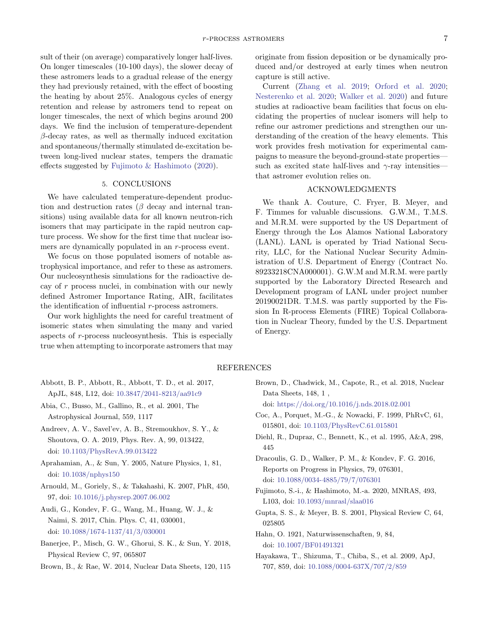sult of their (on average) comparatively longer half-lives. On longer timescales (10-100 days), the slower decay of these astromers leads to a gradual release of the energy they had previously retained, with the effect of boosting the heating by about 25%. Analogous cycles of energy retention and release by astromers tend to repeat on longer timescales, the next of which begins around 200 days. We find the inclusion of temperature-dependent  $\beta$ -decay rates, as well as thermally induced excitation and spontaneous/thermally stimulated de-excitation between long-lived nuclear states, tempers the dramatic effects suggested by [Fujimoto & Hashimoto](#page-6-13) [\(2020\)](#page-6-13).

# 5. CONCLUSIONS

We have calculated temperature-dependent production and destruction rates ( $\beta$  decay and internal transitions) using available data for all known neutron-rich isomers that may participate in the rapid neutron capture process. We show for the first time that nuclear isomers are dynamically populated in an r-process event.

We focus on those populated isomers of notable astrophysical importance, and refer to these as astromers. Our nucleosynthesis simulations for the radioactive decay of r process nuclei, in combination with our newly defined Astromer Importance Rating, AIR, facilitates the identification of influential r-process astromers.

Our work highlights the need for careful treatment of isomeric states when simulating the many and varied aspects of r-process nucleosynthesis. This is especially true when attempting to incorporate astromers that may

originate from fission deposition or be dynamically produced and/or destroyed at early times when neutron capture is still active.

Current [\(Zhang et al.](#page-7-27) [2019;](#page-7-27) [Orford et al.](#page-7-28) [2020;](#page-7-28) [Nesterenko et al.](#page-7-29) [2020;](#page-7-29) [Walker et al.](#page-7-30) [2020\)](#page-7-30) and future studies at radioactive beam facilities that focus on elucidating the properties of nuclear isomers will help to refine our astromer predictions and strengthen our understanding of the creation of the heavy elements. This work provides fresh motivation for experimental campaigns to measure the beyond-ground-state properties such as excited state half-lives and  $\gamma$ -ray intensities that astromer evolution relies on.

#### ACKNOWLEDGMENTS

We thank A. Couture, C. Fryer, B. Meyer, and F. Timmes for valuable discussions. G.W.M., T.M.S. and M.R.M. were supported by the US Department of Energy through the Los Alamos National Laboratory (LANL). LANL is operated by Triad National Security, LLC, for the National Nuclear Security Administration of U.S. Department of Energy (Contract No. 89233218CNA000001). G.W.M and M.R.M. were partly supported by the Laboratory Directed Research and Development program of LANL under project number 20190021DR. T.M.S. was partly supported by the Fission In R-process Elements (FIRE) Topical Collaboration in Nuclear Theory, funded by the U.S. Department of Energy.

## REFERENCES

- <span id="page-6-12"></span>Abbott, B. P., Abbott, R., Abbott, T. D., et al. 2017, ApJL, 848, L12, doi: [10.3847/2041-8213/aa91c9](http://doi.org/10.3847/2041-8213/aa91c9)
- <span id="page-6-11"></span>Abia, C., Busso, M., Gallino, R., et al. 2001, The Astrophysical Journal, 559, 1117
- <span id="page-6-1"></span>Andreev, A. V., Savel'ev, A. B., Stremoukhov, S. Y., & Shoutova, O. A. 2019, Phys. Rev. A, 99, 013422, doi: [10.1103/PhysRevA.99.013422](http://doi.org/10.1103/PhysRevA.99.013422)
- <span id="page-6-5"></span>Aprahamian, A., & Sun, Y. 2005, Nature Physics, 1, 81, doi: [10.1038/nphys150](http://doi.org/10.1038/nphys150)
- <span id="page-6-15"></span>Arnould, M., Goriely, S., & Takahashi, K. 2007, PhR, 450, 97, doi: [10.1016/j.physrep.2007.06.002](http://doi.org/10.1016/j.physrep.2007.06.002)
- <span id="page-6-14"></span>Audi, G., Kondev, F. G., Wang, M., Huang, W. J., & Naimi, S. 2017, Chin. Phys. C, 41, 030001, doi: [10.1088/1674-1137/41/3/030001](http://doi.org/10.1088/1674-1137/41/3/030001)
- <span id="page-6-9"></span>Banerjee, P., Misch, G. W., Ghorui, S. K., & Sun, Y. 2018, Physical Review C, 97, 065807
- <span id="page-6-3"></span>Brown, B., & Rae, W. 2014, Nuclear Data Sheets, 120, 115

<span id="page-6-2"></span>Brown, D., Chadwick, M., Capote, R., et al. 2018, Nuclear Data Sheets, 148, 1 ,

doi: [https://doi.org/10.1016/j.nds.2018.02.001](http://doi.org/https://doi.org/10.1016/j.nds.2018.02.001)

- <span id="page-6-10"></span>Coc, A., Porquet, M.-G., & Nowacki, F. 1999, PhRvC, 61, 015801, doi: [10.1103/PhysRevC.61.015801](http://doi.org/10.1103/PhysRevC.61.015801)
- <span id="page-6-7"></span>Diehl, R., Dupraz, C., Bennett, K., et al. 1995, A&A, 298, 445
- <span id="page-6-4"></span>Dracoulis, G. D., Walker, P. M., & Kondev, F. G. 2016, Reports on Progress in Physics, 79, 076301, doi: [10.1088/0034-4885/79/7/076301](http://doi.org/10.1088/0034-4885/79/7/076301)
- <span id="page-6-13"></span>Fujimoto, S.-i., & Hashimoto, M.-a. 2020, MNRAS, 493, L103, doi: [10.1093/mnrasl/slaa016](http://doi.org/10.1093/mnrasl/slaa016)
- <span id="page-6-8"></span>Gupta, S. S., & Meyer, B. S. 2001, Physical Review C, 64, 025805
- <span id="page-6-0"></span>Hahn, O. 1921, Naturwissenschaften, 9, 84, doi: [10.1007/BF01491321](http://doi.org/10.1007/BF01491321)
- <span id="page-6-6"></span>Hayakawa, T., Shizuma, T., Chiba, S., et al. 2009, ApJ, 707, 859, doi: [10.1088/0004-637X/707/2/859](http://doi.org/10.1088/0004-637X/707/2/859)